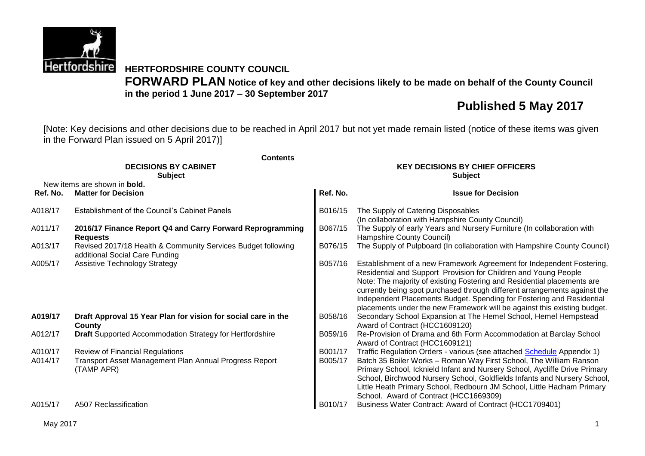

**HERTFORDSHIRE COUNTY COUNCIL FORWARD PLAN Notice of key and other decisions likely to be made on behalf of the County Council in the period 1 June 2017 – 30 September 2017**

# **Published 5 May 2017**

[Note: Key decisions and other decisions due to be reached in April 2017 but not yet made remain listed (notice of these items was given in the Forward Plan issued on 5 April 2017)]

| <b>Contents</b> |                                                                                                |          |                                                                                                                                                                                                                                                                                                                                                                                                                                                       |  |  |  |  |  |
|-----------------|------------------------------------------------------------------------------------------------|----------|-------------------------------------------------------------------------------------------------------------------------------------------------------------------------------------------------------------------------------------------------------------------------------------------------------------------------------------------------------------------------------------------------------------------------------------------------------|--|--|--|--|--|
|                 | <b>DECISIONS BY CABINET</b><br><b>Subject</b>                                                  |          | <b>KEY DECISIONS BY CHIEF OFFICERS</b><br><b>Subject</b>                                                                                                                                                                                                                                                                                                                                                                                              |  |  |  |  |  |
|                 | New items are shown in <b>bold.</b>                                                            |          |                                                                                                                                                                                                                                                                                                                                                                                                                                                       |  |  |  |  |  |
| Ref. No.        | <b>Matter for Decision</b>                                                                     | Ref. No. | <b>Issue for Decision</b>                                                                                                                                                                                                                                                                                                                                                                                                                             |  |  |  |  |  |
| A018/17         | Establishment of the Council's Cabinet Panels                                                  | B016/15  | The Supply of Catering Disposables<br>(In collaboration with Hampshire County Council)                                                                                                                                                                                                                                                                                                                                                                |  |  |  |  |  |
| A011/17         | 2016/17 Finance Report Q4 and Carry Forward Reprogramming<br><b>Requests</b>                   | B067/15  | The Supply of early Years and Nursery Furniture (In collaboration with<br>Hampshire County Council)                                                                                                                                                                                                                                                                                                                                                   |  |  |  |  |  |
| A013/17         | Revised 2017/18 Health & Community Services Budget following<br>additional Social Care Funding | B076/15  | The Supply of Pulpboard (In collaboration with Hampshire County Council)                                                                                                                                                                                                                                                                                                                                                                              |  |  |  |  |  |
| A005/17         | Assistive Technology Strategy                                                                  | B057/16  | Establishment of a new Framework Agreement for Independent Fostering,<br>Residential and Support Provision for Children and Young People<br>Note: The majority of existing Fostering and Residential placements are<br>currently being spot purchased through different arrangements against the<br>Independent Placements Budget. Spending for Fostering and Residential<br>placements under the new Framework will be against this existing budget. |  |  |  |  |  |
| A019/17         | Draft Approval 15 Year Plan for vision for social care in the<br>County                        | B058/16  | Secondary School Expansion at The Hemel School, Hemel Hempstead<br>Award of Contract (HCC1609120)                                                                                                                                                                                                                                                                                                                                                     |  |  |  |  |  |
| A012/17         | <b>Draft</b> Supported Accommodation Strategy for Hertfordshire                                | B059/16  | Re-Provision of Drama and 6th Form Accommodation at Barclay School<br>Award of Contract (HCC1609121)                                                                                                                                                                                                                                                                                                                                                  |  |  |  |  |  |
| A010/17         | <b>Review of Financial Regulations</b>                                                         | B001/17  | Traffic Regulation Orders - various (see attached Schedule Appendix 1)                                                                                                                                                                                                                                                                                                                                                                                |  |  |  |  |  |
| A014/17         | Transport Asset Management Plan Annual Progress Report<br>(TAMP APR)                           | B005/17  | Batch 35 Boiler Works - Roman Way First School, The William Ranson<br>Primary School, Icknield Infant and Nursery School, Aycliffe Drive Primary<br>School, Birchwood Nursery School, Goldfields Infants and Nursery School,<br>Little Heath Primary School, Redbourn JM School, Little Hadham Primary<br>School. Award of Contract (HCC1669309)                                                                                                      |  |  |  |  |  |
| A015/17         | A507 Reclassification                                                                          | B010/17  | Business Water Contract: Award of Contract (HCC1709401)                                                                                                                                                                                                                                                                                                                                                                                               |  |  |  |  |  |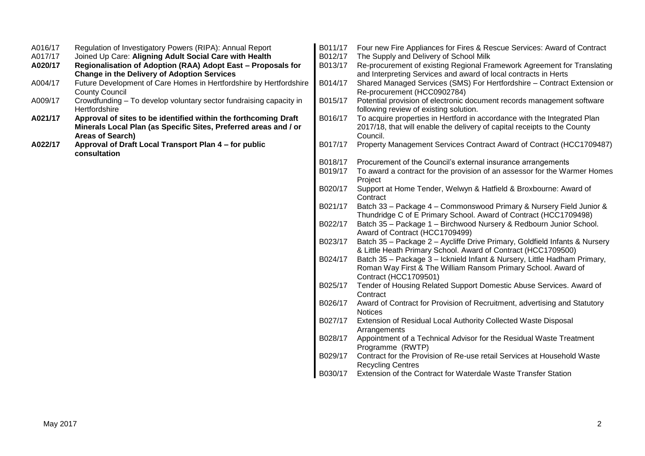| A016/17 | Regulation of Investigatory Powers (RIPA): Annual Report                                                                 | B011/17 | Four new Fire Appliances for Fires & Rescue Services: Award of Contract                                                                    |
|---------|--------------------------------------------------------------------------------------------------------------------------|---------|--------------------------------------------------------------------------------------------------------------------------------------------|
| A017/17 | Joined Up Care: Aligning Adult Social Care with Health                                                                   | B012/17 | The Supply and Delivery of School Milk                                                                                                     |
| A020/17 | Regionalisation of Adoption (RAA) Adopt East - Proposals for                                                             | B013/17 | Re-procurement of existing Regional Framework Agreement for Translating                                                                    |
| A004/17 | <b>Change in the Delivery of Adoption Services</b><br>Future Development of Care Homes in Hertfordshire by Hertfordshire | B014/17 | and Interpreting Services and award of local contracts in Herts<br>Shared Managed Services (SMS) For Hertfordshire - Contract Extension or |
|         | <b>County Council</b>                                                                                                    |         | Re-procurement (HCC0902784)                                                                                                                |
| A009/17 | Crowdfunding – To develop voluntary sector fundraising capacity in                                                       | B015/17 | Potential provision of electronic document records management software                                                                     |
|         | Hertfordshire                                                                                                            |         | following review of existing solution.                                                                                                     |
| A021/17 | Approval of sites to be identified within the forthcoming Draft                                                          | B016/17 | To acquire properties in Hertford in accordance with the Integrated Plan                                                                   |
|         | Minerals Local Plan (as Specific Sites, Preferred areas and / or                                                         |         | 2017/18, that will enable the delivery of capital receipts to the County                                                                   |
|         | Areas of Search)                                                                                                         |         | Council.                                                                                                                                   |
| A022/17 | Approval of Draft Local Transport Plan 4 - for public<br>consultation                                                    | B017/17 | Property Management Services Contract Award of Contract (HCC1709487)                                                                       |
|         |                                                                                                                          | B018/17 | Procurement of the Council's external insurance arrangements                                                                               |
|         |                                                                                                                          | B019/17 | To award a contract for the provision of an assessor for the Warmer Homes                                                                  |
|         |                                                                                                                          |         | Project                                                                                                                                    |
|         |                                                                                                                          | B020/17 | Support at Home Tender, Welwyn & Hatfield & Broxbourne: Award of                                                                           |
|         |                                                                                                                          |         | Contract                                                                                                                                   |
|         |                                                                                                                          | B021/17 | Batch 33 - Package 4 - Commonswood Primary & Nursery Field Junior &<br>Thundridge C of E Primary School. Award of Contract (HCC1709498)    |
|         |                                                                                                                          | B022/17 | Batch 35 - Package 1 - Birchwood Nursery & Redbourn Junior School.                                                                         |
|         |                                                                                                                          |         | Award of Contract (HCC1709499)                                                                                                             |
|         |                                                                                                                          | B023/17 | Batch 35 - Package 2 - Aycliffe Drive Primary, Goldfield Infants & Nursery                                                                 |
|         |                                                                                                                          |         | & Little Heath Primary School. Award of Contract (HCC1709500)                                                                              |
|         |                                                                                                                          | B024/17 | Batch 35 - Package 3 - Icknield Infant & Nursery, Little Hadham Primary,                                                                   |
|         |                                                                                                                          |         | Roman Way First & The William Ransom Primary School. Award of                                                                              |
|         |                                                                                                                          |         | Contract (HCC1709501)                                                                                                                      |
|         |                                                                                                                          | B025/17 | Tender of Housing Related Support Domestic Abuse Services. Award of<br>Contract                                                            |
|         |                                                                                                                          | B026/17 | Award of Contract for Provision of Recruitment, advertising and Statutory                                                                  |
|         |                                                                                                                          |         | <b>Notices</b>                                                                                                                             |
|         |                                                                                                                          | B027/17 | Extension of Residual Local Authority Collected Waste Disposal                                                                             |
|         |                                                                                                                          |         | Arrangements                                                                                                                               |
|         |                                                                                                                          | B028/17 | Appointment of a Technical Advisor for the Residual Waste Treatment                                                                        |
|         |                                                                                                                          |         | Programme (RWTP)                                                                                                                           |
|         |                                                                                                                          | B029/17 | Contract for the Provision of Re-use retail Services at Household Waste<br><b>Recycling Centres</b>                                        |
|         |                                                                                                                          | B030/17 | Extension of the Contract for Waterdale Waste Transfer Station                                                                             |
|         |                                                                                                                          |         |                                                                                                                                            |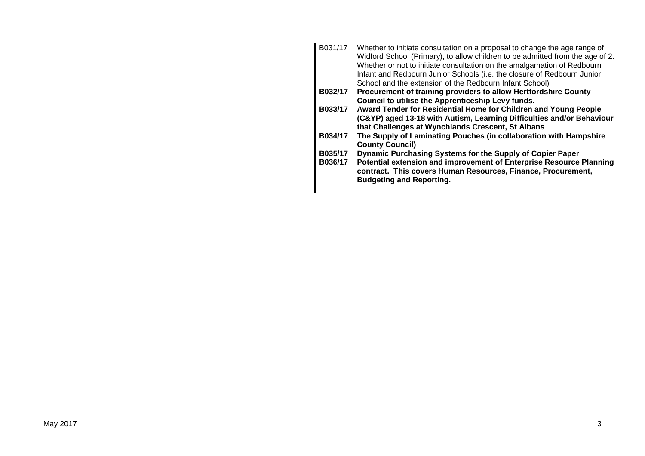B031/17 Whether to initiate consultation on a proposal to change the age range of Widford School (Primary), to allow children to be admitted from the age of 2. Whether or not to initiate consultation on the amalgamation of Redbourn Infant and Redbourn Junior Schools (i.e. the closure of Redbourn Junior School and the extension of the Redbourn Infant School) **B032/17 Procurement of training providers to allow Hertfordshire County Council to utilise the Apprenticeship Levy funds. B033/17 Award Tender for Residential Home for Children and Young People (C&YP) aged 13-18 with Autism, Learning Difficulties and/or Behaviour that Challenges at Wynchlands Crescent, St Albans B034/17 The Supply of Laminating Pouches (in collaboration with Hampshire County Council) B035/17 Dynamic Purchasing Systems for the Supply of Copier Paper B036/17 Potential extension and improvement of Enterprise Resource Planning contract. This covers Human Resources, Finance, Procurement, Budgeting and Reporting.**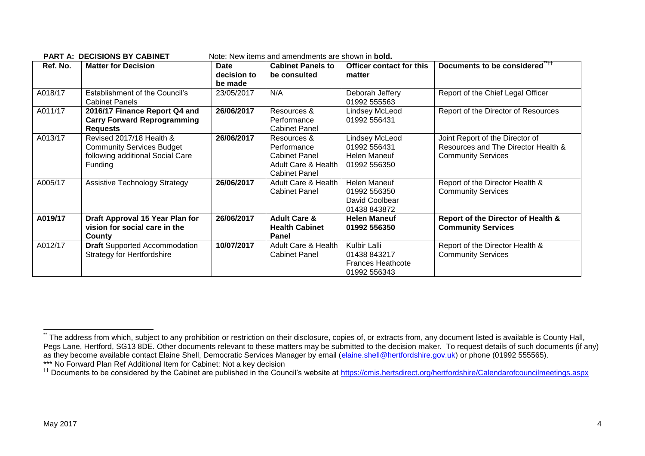| Ref. No. | <b>Matter for Decision</b>                                                                                  | Date<br>decision to<br>be made | <b>Cabinet Panels to</b><br>be consulted                                                          | Officer contact for this<br>matter                                       | Documents to be considered" <sup>11</sup>                                                           |
|----------|-------------------------------------------------------------------------------------------------------------|--------------------------------|---------------------------------------------------------------------------------------------------|--------------------------------------------------------------------------|-----------------------------------------------------------------------------------------------------|
| A018/17  | Establishment of the Council's<br><b>Cabinet Panels</b>                                                     | 23/05/2017                     | N/A                                                                                               | Deborah Jeffery<br>01992 555563                                          | Report of the Chief Legal Officer                                                                   |
| A011/17  | 2016/17 Finance Report Q4 and<br><b>Carry Forward Reprogramming</b><br><b>Requests</b>                      | 26/06/2017                     | Resources &<br>Performance<br><b>Cabinet Panel</b>                                                | Lindsey McLeod<br>01992 556431                                           | Report of the Director of Resources                                                                 |
| A013/17  | Revised 2017/18 Health &<br><b>Community Services Budget</b><br>following additional Social Care<br>Funding | 26/06/2017                     | Resources &<br>Performance<br><b>Cabinet Panel</b><br>Adult Care & Health<br><b>Cabinet Panel</b> | Lindsey McLeod<br>01992 556431<br><b>Helen Maneuf</b><br>01992 556350    | Joint Report of the Director of<br>Resources and The Director Health &<br><b>Community Services</b> |
| A005/17  | <b>Assistive Technology Strategy</b>                                                                        | 26/06/2017                     | Adult Care & Health<br><b>Cabinet Panel</b>                                                       | <b>Helen Maneuf</b><br>01992 556350<br>David Coolbear<br>01438 843872    | Report of the Director Health &<br><b>Community Services</b>                                        |
| A019/17  | Draft Approval 15 Year Plan for<br>vision for social care in the<br>County                                  | 26/06/2017                     | <b>Adult Care &amp;</b><br><b>Health Cabinet</b><br><b>Panel</b>                                  | <b>Helen Maneuf</b><br>01992 556350                                      | Report of the Director of Health &<br><b>Community Services</b>                                     |
| A012/17  | <b>Draft</b> Supported Accommodation<br><b>Strategy for Hertfordshire</b>                                   | 10/07/2017                     | Adult Care & Health<br><b>Cabinet Panel</b>                                                       | Kulbir Lalli<br>01438 843217<br><b>Frances Heathcote</b><br>01992 556343 | Report of the Director Health &<br><b>Community Services</b>                                        |

**PART A: DECISIONS BY CARINET** Note: New items and amendments are shown in **bold** 

1

<sup>.&</sup>lt;br>The address from which, subject to any prohibition or restriction on their disclosure, copies of, or extracts from, any document listed is available is County Hall, Pegs Lane, Hertford, SG13 8DE. Other documents relevant to these matters may be submitted to the decision maker. To request details of such documents (if any) as they become available contact Elaine Shell, Democratic Services Manager by email [\(elaine.shell@hertfordshire.gov.uk\)](mailto:elaine.shell@hertfordshire.gov.uk) or phone (01992 555565). \*\*\* No Forward Plan Ref Additional Item for Cabinet: Not a key decision

<sup>&</sup>lt;sup>††</sup> Documents to be considered by the Cabinet are published in the Council's website at <https://cmis.hertsdirect.org/hertfordshire/Calendarofcouncilmeetings.aspx>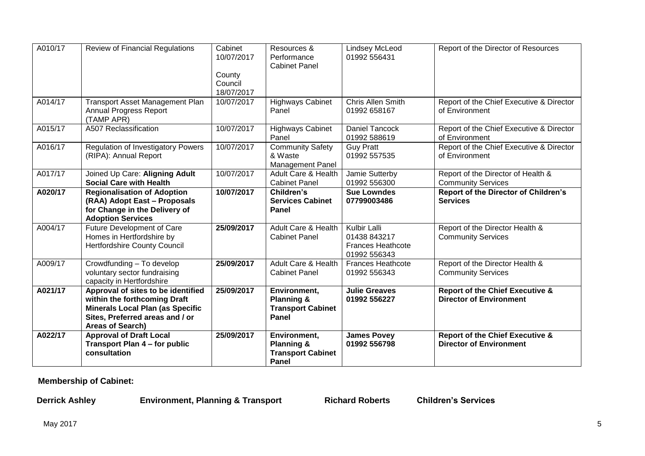| A010/17 | <b>Review of Financial Regulations</b>                                                                                                                               | Cabinet<br>10/07/2017           | Resources &<br>Performance<br><b>Cabinet Panel</b>                         | Lindsey McLeod<br>01992 556431                                                  | Report of the Director of Resources                                          |
|---------|----------------------------------------------------------------------------------------------------------------------------------------------------------------------|---------------------------------|----------------------------------------------------------------------------|---------------------------------------------------------------------------------|------------------------------------------------------------------------------|
|         |                                                                                                                                                                      | County<br>Council<br>18/07/2017 |                                                                            |                                                                                 |                                                                              |
| A014/17 | <b>Transport Asset Management Plan</b><br>Annual Progress Report<br>(TAMP APR)                                                                                       | 10/07/2017                      | <b>Highways Cabinet</b><br>Panel                                           | Chris Allen Smith<br>01992 658167                                               | Report of the Chief Executive & Director<br>of Environment                   |
| A015/17 | A507 Reclassification                                                                                                                                                | 10/07/2017                      | <b>Highways Cabinet</b><br>Panel                                           | <b>Daniel Tancock</b><br>01992 588619                                           | Report of the Chief Executive & Director<br>of Environment                   |
| A016/17 | <b>Regulation of Investigatory Powers</b><br>(RIPA): Annual Report                                                                                                   | 10/07/2017                      | <b>Community Safety</b><br>& Waste<br><b>Management Panel</b>              | <b>Guy Pratt</b><br>01992 557535                                                | Report of the Chief Executive & Director<br>of Environment                   |
| A017/17 | Joined Up Care: Aligning Adult<br><b>Social Care with Health</b>                                                                                                     | 10/07/2017                      | Adult Care & Health<br><b>Cabinet Panel</b>                                | Jamie Sutterby<br>01992 556300                                                  | Report of the Director of Health &<br><b>Community Services</b>              |
| A020/17 | <b>Regionalisation of Adoption</b><br>(RAA) Adopt East - Proposals<br>for Change in the Delivery of<br><b>Adoption Services</b>                                      | 10/07/2017                      | Children's<br><b>Services Cabinet</b><br><b>Panel</b>                      | <b>Sue Lowndes</b><br>07799003486                                               | <b>Report of the Director of Children's</b><br><b>Services</b>               |
| A004/17 | Future Development of Care<br>Homes in Hertfordshire by<br>Hertfordshire County Council                                                                              | 25/09/2017                      | Adult Care & Health<br><b>Cabinet Panel</b>                                | <b>Kulbir Lalli</b><br>01438 843217<br><b>Frances Heathcote</b><br>01992 556343 | Report of the Director Health &<br><b>Community Services</b>                 |
| A009/17 | Crowdfunding - To develop<br>voluntary sector fundraising<br>capacity in Hertfordshire                                                                               | 25/09/2017                      | <b>Adult Care &amp; Health</b><br><b>Cabinet Panel</b>                     | <b>Frances Heathcote</b><br>01992 556343                                        | Report of the Director Health &<br><b>Community Services</b>                 |
| A021/17 | Approval of sites to be identified<br>within the forthcoming Draft<br><b>Minerals Local Plan (as Specific</b><br>Sites, Preferred areas and / or<br>Areas of Search) | 25/09/2017                      | Environment,<br><b>Planning &amp;</b><br><b>Transport Cabinet</b><br>Panel | <b>Julie Greaves</b><br>01992 556227                                            | <b>Report of the Chief Executive &amp;</b><br><b>Director of Environment</b> |
| A022/17 | <b>Approval of Draft Local</b><br>Transport Plan 4 - for public<br>consultation                                                                                      | 25/09/2017                      | Environment,<br><b>Planning &amp;</b><br><b>Transport Cabinet</b><br>Panel | <b>James Povey</b><br>01992 556798                                              | <b>Report of the Chief Executive &amp;</b><br><b>Director of Environment</b> |

**Membership of Cabinet:** 

**Derrick Ashley Environment, Planning & Transport Richard Roberts Children's Services**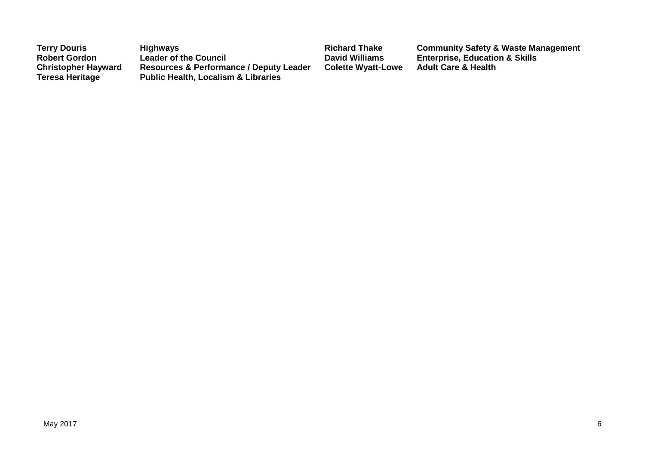| <b>Terry Douris</b>                                  | <b>Highways</b>                                                                                      | <b>Richard Thake</b>      | <b>Community Safety &amp; Waste Management</b> |
|------------------------------------------------------|------------------------------------------------------------------------------------------------------|---------------------------|------------------------------------------------|
| <b>Robert Gordon</b>                                 | <b>Leader of the Council</b>                                                                         | <b>David Williams</b>     | <b>Enterprise, Education &amp; Skills</b>      |
| <b>Christopher Hayward</b><br><b>Teresa Heritage</b> | <b>Resources &amp; Performance / Deputy Leader</b><br><b>Public Health, Localism &amp; Libraries</b> | <b>Colette Wyatt-Lowe</b> | <b>Adult Care &amp; Health</b>                 |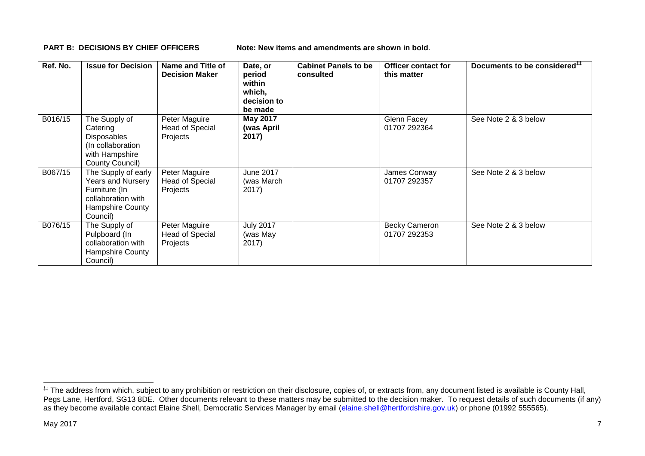**PART B: DECISIONS BY CHIEF OFFICERS Note: New items and amendments are shown in bold.** 

| Ref. No. | <b>Issue for Decision</b>                                                                                                     | <b>Name and Title of</b><br><b>Decision Maker</b>   | Date, or<br>period<br>within<br>which,<br>decision to<br>be made | <b>Cabinet Panels to be</b><br>consulted | Officer contact for<br>this matter   | Documents to be considered <sup>##</sup> |
|----------|-------------------------------------------------------------------------------------------------------------------------------|-----------------------------------------------------|------------------------------------------------------------------|------------------------------------------|--------------------------------------|------------------------------------------|
| B016/15  | The Supply of<br>Catering<br><b>Disposables</b><br>(In collaboration<br>with Hampshire<br>County Council)                     | Peter Maguire<br><b>Head of Special</b><br>Projects | <b>May 2017</b><br>(was April<br>2017)                           |                                          | Glenn Facey<br>01707 292364          | See Note 2 & 3 below                     |
| B067/15  | The Supply of early<br><b>Years and Nursery</b><br>Furniture (In<br>collaboration with<br><b>Hampshire County</b><br>Council) | Peter Maguire<br><b>Head of Special</b><br>Projects | June 2017<br>(was March<br>2017)                                 |                                          | James Conway<br>01707 292357         | See Note 2 & 3 below                     |
| B076/15  | The Supply of<br>Pulpboard (In<br>collaboration with<br><b>Hampshire County</b><br>Council)                                   | Peter Maguire<br><b>Head of Special</b><br>Projects | <b>July 2017</b><br>(was May<br>2017)                            |                                          | <b>Becky Cameron</b><br>01707 292353 | See Note 2 & 3 below                     |

1

<sup>‡‡</sup> The address from which, subject to any prohibition or restriction on their disclosure, copies of, or extracts from, any document listed is available is County Hall, Pegs Lane, Hertford, SG13 8DE. Other documents relevant to these matters may be submitted to the decision maker. To request details of such documents (if any) as they become available contact Elaine Shell, Democratic Services Manager by email [\(elaine.shell@hertfordshire.gov.uk\)](mailto:elaine.shell@hertfordshire.gov.uk) or phone (01992 555565).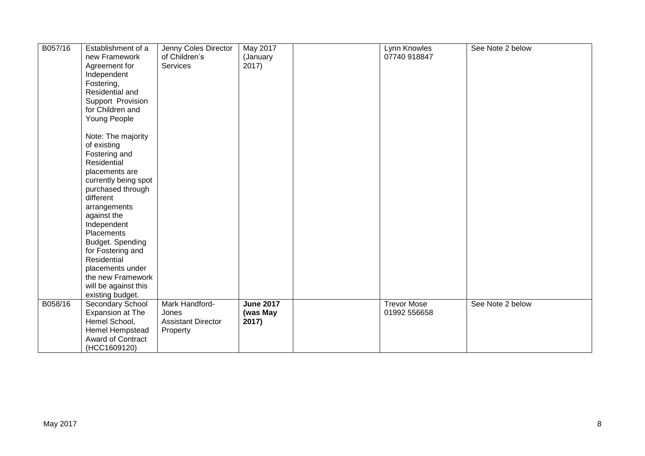| B057/16 | Establishment of a<br>new Framework<br>Agreement for<br>Independent<br>Fostering,<br>Residential and<br>Support Provision<br>for Children and<br>Young People<br>Note: The majority<br>of existing<br>Fostering and                                                                              | Jenny Coles Director<br>of Children's<br>Services                | May 2017<br>(January<br>2017)         | Lynn Knowles<br>07740 918847       | See Note 2 below |
|---------|--------------------------------------------------------------------------------------------------------------------------------------------------------------------------------------------------------------------------------------------------------------------------------------------------|------------------------------------------------------------------|---------------------------------------|------------------------------------|------------------|
|         | Residential<br>placements are<br>currently being spot<br>purchased through<br>different<br>arrangements<br>against the<br>Independent<br>Placements<br>Budget. Spending<br>for Fostering and<br>Residential<br>placements under<br>the new Framework<br>will be against this<br>existing budget. |                                                                  |                                       |                                    |                  |
| B058/16 | Secondary School<br>Expansion at The<br>Hemel School,<br>Hemel Hempstead<br>Award of Contract<br>(HCC1609120)                                                                                                                                                                                    | Mark Handford-<br>Jones<br><b>Assistant Director</b><br>Property | <b>June 2017</b><br>(was May<br>2017) | <b>Trevor Mose</b><br>01992 556658 | See Note 2 below |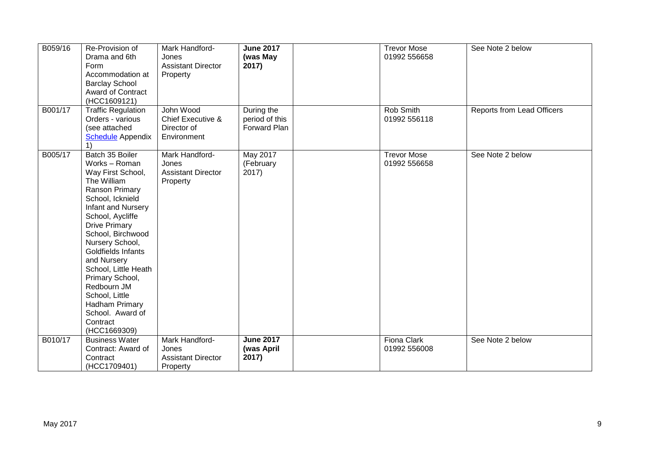| B059/16 | Re-Provision of<br>Drama and 6th<br>Form<br>Accommodation at<br><b>Barclay School</b><br><b>Award of Contract</b><br>(HCC1609121)                                                                                                                                                                                                                                                                       | Mark Handford-<br>Jones<br><b>Assistant Director</b><br>Property | <b>June 2017</b><br>(was May<br>2017)        | <b>Trevor Mose</b><br>01992 556658 | See Note 2 below                  |
|---------|---------------------------------------------------------------------------------------------------------------------------------------------------------------------------------------------------------------------------------------------------------------------------------------------------------------------------------------------------------------------------------------------------------|------------------------------------------------------------------|----------------------------------------------|------------------------------------|-----------------------------------|
| B001/17 | <b>Traffic Regulation</b><br>Orders - various<br>(see attached<br><b>Schedule</b> Appendix                                                                                                                                                                                                                                                                                                              | John Wood<br>Chief Executive &<br>Director of<br>Environment     | During the<br>period of this<br>Forward Plan | Rob Smith<br>01992 556118          | <b>Reports from Lead Officers</b> |
| B005/17 | Batch 35 Boiler<br>Works - Roman<br>Way First School,<br>The William<br>Ranson Primary<br>School, Icknield<br>Infant and Nursery<br>School, Aycliffe<br><b>Drive Primary</b><br>School, Birchwood<br>Nursery School,<br>Goldfields Infants<br>and Nursery<br>School, Little Heath<br>Primary School,<br>Redbourn JM<br>School, Little<br>Hadham Primary<br>School. Award of<br>Contract<br>(HCC1669309) | Mark Handford-<br>Jones<br><b>Assistant Director</b><br>Property | <b>May 2017</b><br>(February<br>2017)        | <b>Trevor Mose</b><br>01992 556658 | See Note 2 below                  |
| B010/17 | <b>Business Water</b><br>Contract: Award of<br>Contract<br>(HCC1709401)                                                                                                                                                                                                                                                                                                                                 | Mark Handford-<br>Jones<br><b>Assistant Director</b><br>Property | <b>June 2017</b><br>(was April<br>2017)      | Fiona Clark<br>01992 556008        | See Note 2 below                  |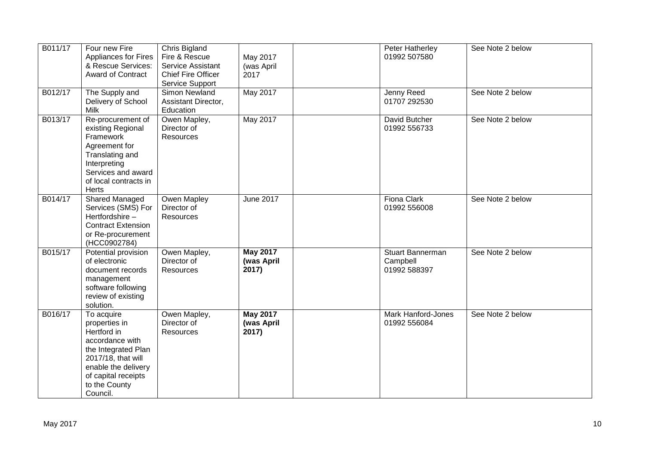| B011/17 | Four new Fire<br><b>Appliances for Fires</b><br>& Rescue Services:<br><b>Award of Contract</b>                                                                                        | Chris Bigland<br>Fire & Rescue<br>Service Assistant<br><b>Chief Fire Officer</b><br>Service Support | May 2017<br>(was April<br>2017         | Peter Hatherley<br>01992 507580                     | See Note 2 below |
|---------|---------------------------------------------------------------------------------------------------------------------------------------------------------------------------------------|-----------------------------------------------------------------------------------------------------|----------------------------------------|-----------------------------------------------------|------------------|
| B012/17 | The Supply and<br>Delivery of School<br>Milk                                                                                                                                          | Simon Newland<br>Assistant Director,<br>Education                                                   | May 2017                               | Jenny Reed<br>01707 292530                          | See Note 2 below |
| B013/17 | Re-procurement of<br>existing Regional<br>Framework<br>Agreement for<br>Translating and<br>Interpreting<br>Services and award<br>of local contracts in<br>Herts                       | Owen Mapley,<br>Director of<br>Resources                                                            | May 2017                               | David Butcher<br>01992 556733                       | See Note 2 below |
| B014/17 | <b>Shared Managed</b><br>Services (SMS) For<br>Hertfordshire-<br><b>Contract Extension</b><br>or Re-procurement<br>(HCC0902784)                                                       | Owen Mapley<br>Director of<br>Resources                                                             | <b>June 2017</b>                       | <b>Fiona Clark</b><br>01992 556008                  | See Note 2 below |
| B015/17 | Potential provision<br>of electronic<br>document records<br>management<br>software following<br>review of existing<br>solution.                                                       | Owen Mapley,<br>Director of<br>Resources                                                            | <b>May 2017</b><br>(was April<br>2017) | <b>Stuart Bannerman</b><br>Campbell<br>01992 588397 | See Note 2 below |
| B016/17 | To acquire<br>properties in<br>Hertford in<br>accordance with<br>the Integrated Plan<br>2017/18, that will<br>enable the delivery<br>of capital receipts<br>to the County<br>Council. | Owen Mapley,<br>Director of<br>Resources                                                            | <b>May 2017</b><br>(was April<br>2017) | Mark Hanford-Jones<br>01992 556084                  | See Note 2 below |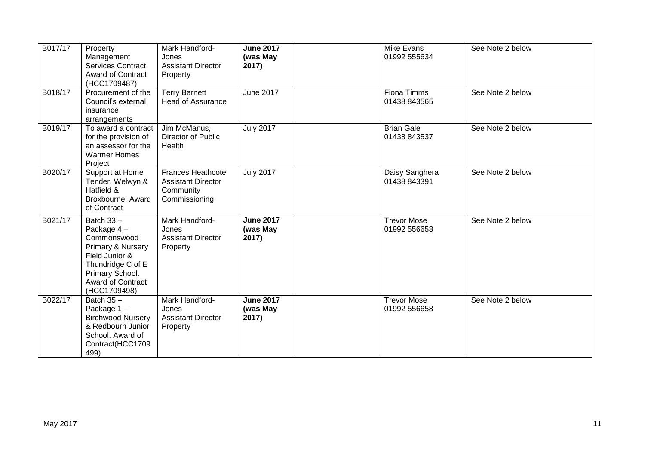| B017/17 | Property<br>Management<br><b>Services Contract</b><br><b>Award of Contract</b><br>(HCC1709487)                                                                | Mark Handford-<br>Jones<br><b>Assistant Director</b><br>Property                    | <b>June 2017</b><br>(was May<br>2017) | Mike Evans<br>01992 555634         | See Note 2 below |
|---------|---------------------------------------------------------------------------------------------------------------------------------------------------------------|-------------------------------------------------------------------------------------|---------------------------------------|------------------------------------|------------------|
| B018/17 | Procurement of the<br>Council's external<br>insurance<br>arrangements                                                                                         | <b>Terry Barnett</b><br><b>Head of Assurance</b>                                    | <b>June 2017</b>                      | <b>Fiona Timms</b><br>01438 843565 | See Note 2 below |
| B019/17 | To award a contract<br>for the provision of<br>an assessor for the<br><b>Warmer Homes</b><br>Project                                                          | Jim McManus,<br>Director of Public<br>Health                                        | <b>July 2017</b>                      | <b>Brian Gale</b><br>01438 843537  | See Note 2 below |
| B020/17 | Support at Home<br>Tender, Welwyn &<br>Hatfield &<br>Broxbourne: Award<br>of Contract                                                                         | <b>Frances Heathcote</b><br><b>Assistant Director</b><br>Community<br>Commissioning | <b>July 2017</b>                      | Daisy Sanghera<br>01438 843391     | See Note 2 below |
| B021/17 | Batch $33 -$<br>Package 4-<br>Commonswood<br>Primary & Nursery<br>Field Junior &<br>Thundridge C of E<br>Primary School.<br>Award of Contract<br>(HCC1709498) | Mark Handford-<br>Jones<br><b>Assistant Director</b><br>Property                    | <b>June 2017</b><br>(was May<br>2017) | <b>Trevor Mose</b><br>01992 556658 | See Note 2 below |
| B022/17 | Batch $35 -$<br>Package 1-<br><b>Birchwood Nursery</b><br>& Redbourn Junior<br>School. Award of<br>Contract(HCC1709<br>499)                                   | Mark Handford-<br>Jones<br><b>Assistant Director</b><br>Property                    | <b>June 2017</b><br>(was May<br>2017) | <b>Trevor Mose</b><br>01992 556658 | See Note 2 below |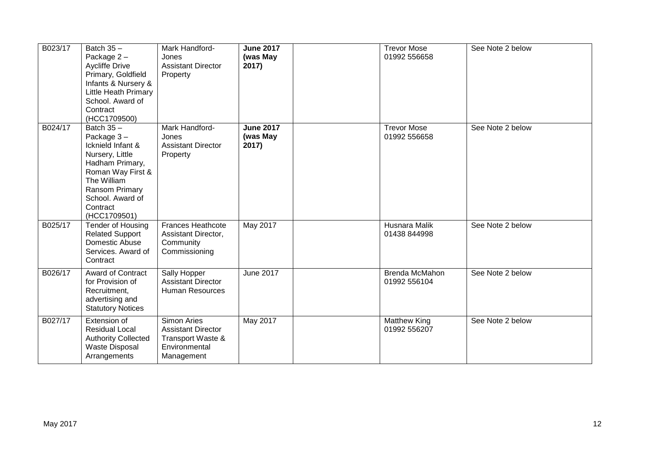| B023/17 | Batch $35 -$<br>Package 2-<br><b>Aycliffe Drive</b><br>Primary, Goldfield<br>Infants & Nursery &<br><b>Little Heath Primary</b><br>School. Award of<br>Contract<br>(HCC1709500)             | Mark Handford-<br>Jones<br><b>Assistant Director</b><br>Property                                    | <b>June 2017</b><br>(was May<br>2017) | <b>Trevor Mose</b><br>01992 556658    | See Note 2 below |
|---------|---------------------------------------------------------------------------------------------------------------------------------------------------------------------------------------------|-----------------------------------------------------------------------------------------------------|---------------------------------------|---------------------------------------|------------------|
| B024/17 | Batch $35 -$<br>Package 3-<br>Icknield Infant &<br>Nursery, Little<br>Hadham Primary,<br>Roman Way First &<br>The William<br>Ransom Primary<br>School. Award of<br>Contract<br>(HCC1709501) | Mark Handford-<br>Jones<br><b>Assistant Director</b><br>Property                                    | <b>June 2017</b><br>(was May<br>2017) | <b>Trevor Mose</b><br>01992 556658    | See Note 2 below |
| B025/17 | <b>Tender of Housing</b><br><b>Related Support</b><br>Domestic Abuse<br>Services. Award of<br>Contract                                                                                      | <b>Frances Heathcote</b><br>Assistant Director,<br>Community<br>Commissioning                       | May 2017                              | Husnara Malik<br>01438 844998         | See Note 2 below |
| B026/17 | <b>Award of Contract</b><br>for Provision of<br>Recruitment,<br>advertising and<br><b>Statutory Notices</b>                                                                                 | Sally Hopper<br><b>Assistant Director</b><br><b>Human Resources</b>                                 | <b>June 2017</b>                      | <b>Brenda McMahon</b><br>01992 556104 | See Note 2 below |
| B027/17 | Extension of<br><b>Residual Local</b><br><b>Authority Collected</b><br><b>Waste Disposal</b><br>Arrangements                                                                                | <b>Simon Aries</b><br><b>Assistant Director</b><br>Transport Waste &<br>Environmental<br>Management | May 2017                              | <b>Matthew King</b><br>01992 556207   | See Note 2 below |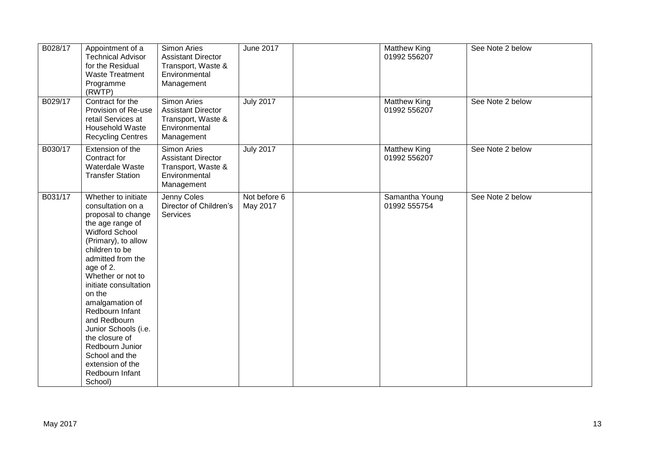| B028/17 | Appointment of a<br><b>Technical Advisor</b><br>for the Residual<br><b>Waste Treatment</b><br>Programme<br>(RWTP)                                                                                                                                                                                                                                                                                                                     | Simon Aries<br><b>Assistant Director</b><br>Transport, Waste &<br>Environmental<br>Management        | <b>June 2017</b>         | Matthew King<br>01992 556207   | See Note 2 below |
|---------|---------------------------------------------------------------------------------------------------------------------------------------------------------------------------------------------------------------------------------------------------------------------------------------------------------------------------------------------------------------------------------------------------------------------------------------|------------------------------------------------------------------------------------------------------|--------------------------|--------------------------------|------------------|
| B029/17 | Contract for the<br>Provision of Re-use<br>retail Services at<br>Household Waste<br><b>Recycling Centres</b>                                                                                                                                                                                                                                                                                                                          | <b>Simon Aries</b><br><b>Assistant Director</b><br>Transport, Waste &<br>Environmental<br>Management | <b>July 2017</b>         | Matthew King<br>01992 556207   | See Note 2 below |
| B030/17 | Extension of the<br>Contract for<br>Waterdale Waste<br><b>Transfer Station</b>                                                                                                                                                                                                                                                                                                                                                        | <b>Simon Aries</b><br><b>Assistant Director</b><br>Transport, Waste &<br>Environmental<br>Management | <b>July 2017</b>         | Matthew King<br>01992 556207   | See Note 2 below |
| B031/17 | Whether to initiate<br>consultation on a<br>proposal to change<br>the age range of<br><b>Widford School</b><br>(Primary), to allow<br>children to be<br>admitted from the<br>age of 2.<br>Whether or not to<br>initiate consultation<br>on the<br>amalgamation of<br>Redbourn Infant<br>and Redbourn<br>Junior Schools (i.e.<br>the closure of<br>Redbourn Junior<br>School and the<br>extension of the<br>Redbourn Infant<br>School) | Jenny Coles<br>Director of Children's<br>Services                                                    | Not before 6<br>May 2017 | Samantha Young<br>01992 555754 | See Note 2 below |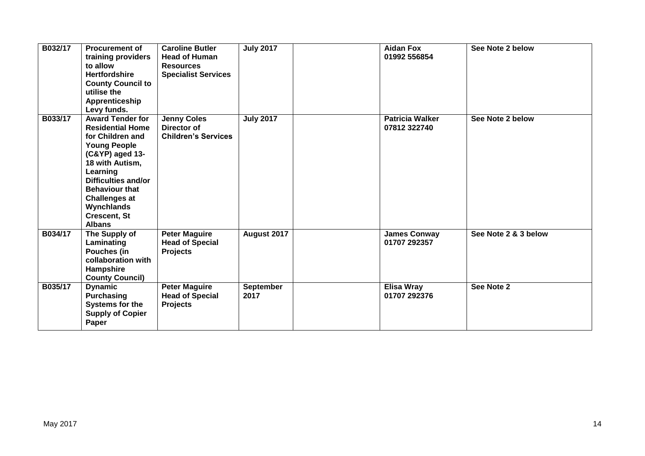| B032/17 | <b>Procurement of</b><br>training providers<br>to allow<br><b>Hertfordshire</b><br><b>County Council to</b><br>utilise the<br>Apprenticeship<br>Levy funds.                                                                                                                          | <b>Caroline Butler</b><br><b>Head of Human</b><br><b>Resources</b><br><b>Specialist Services</b> | <b>July 2017</b>         | <b>Aidan Fox</b><br>01992 556854       | See Note 2 below     |
|---------|--------------------------------------------------------------------------------------------------------------------------------------------------------------------------------------------------------------------------------------------------------------------------------------|--------------------------------------------------------------------------------------------------|--------------------------|----------------------------------------|----------------------|
| B033/17 | <b>Award Tender for</b><br><b>Residential Home</b><br>for Children and<br><b>Young People</b><br>(C&YP) aged 13-<br>18 with Autism,<br>Learning<br><b>Difficulties and/or</b><br><b>Behaviour that</b><br><b>Challenges at</b><br>Wynchlands<br><b>Crescent, St</b><br><b>Albans</b> | <b>Jenny Coles</b><br>Director of<br><b>Children's Services</b>                                  | <b>July 2017</b>         | <b>Patricia Walker</b><br>07812 322740 | See Note 2 below     |
| B034/17 | The Supply of<br>Laminating<br>Pouches (in<br>collaboration with<br>Hampshire<br><b>County Council)</b>                                                                                                                                                                              | <b>Peter Maguire</b><br><b>Head of Special</b><br><b>Projects</b>                                | August 2017              | <b>James Conway</b><br>01707 292357    | See Note 2 & 3 below |
| B035/17 | <b>Dynamic</b><br><b>Purchasing</b><br><b>Systems for the</b><br><b>Supply of Copier</b><br>Paper                                                                                                                                                                                    | <b>Peter Maguire</b><br><b>Head of Special</b><br><b>Projects</b>                                | <b>September</b><br>2017 | <b>Elisa Wray</b><br>01707 292376      | See Note 2           |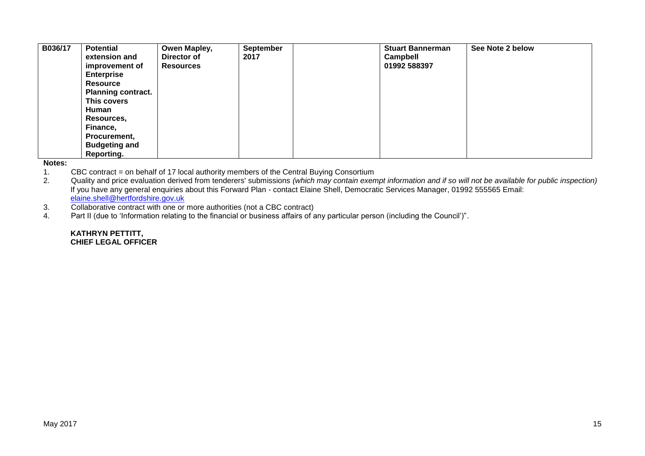| B036/17 | <b>Potential</b>          | Owen Mapley,     | <b>September</b> | <b>Stuart Bannerman</b> | See Note 2 below |
|---------|---------------------------|------------------|------------------|-------------------------|------------------|
|         | extension and             | Director of      | 2017             | Campbell                |                  |
|         | improvement of            | <b>Resources</b> |                  | 01992 588397            |                  |
|         | <b>Enterprise</b>         |                  |                  |                         |                  |
|         | <b>Resource</b>           |                  |                  |                         |                  |
|         | <b>Planning contract.</b> |                  |                  |                         |                  |
|         | This covers               |                  |                  |                         |                  |
|         | Human                     |                  |                  |                         |                  |
|         | Resources,                |                  |                  |                         |                  |
|         | Finance,                  |                  |                  |                         |                  |
|         | Procurement,              |                  |                  |                         |                  |
|         | <b>Budgeting and</b>      |                  |                  |                         |                  |
|         | Reporting.                |                  |                  |                         |                  |

#### **Notes:**

- 1. CBC contract = on behalf of 17 local authority members of the Central Buying Consortium<br>2. Quality and price evaluation derived from tenderers' submissions (which may contain exen
- 2. Quality and price evaluation derived from tenderers' submissions *(which may contain exempt information and if so will not be available for public inspection)* If you have any general enquiries about this Forward Plan - contact Elaine Shell, Democratic Services Manager, 01992 555565 Email: [elaine.shell@hertfordshire.gov.uk](mailto:elaine.shell@hertfordshire.gov.uk)
- 3. Collaborative contract with one or more authorities (not a CBC contract)<br>4. Part II (due to 'Information relating to the financial or business affairs of a
- Part II (due to 'Information relating to the financial or business affairs of any particular person (including the Council')".

#### **KATHRYN PETTITT, CHIEF LEGAL OFFICER**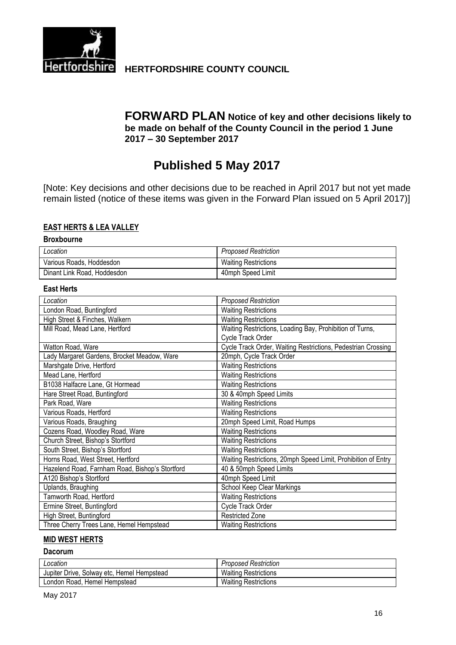

# **Hertfordshire** HERTFORDSHIRE COUNTY COUNCIL

### **FORWARD PLAN Notice of key and other decisions likely to be made on behalf of the County Council in the period 1 June 2017 – 30 September 2017**

# **Published 5 May 2017**

[Note: Key decisions and other decisions due to be reached in April 2017 but not yet made remain listed (notice of these items was given in the Forward Plan issued on 5 April 2017)]

#### **EAST HERTS & LEA VALLEY**

#### **Broxbourne**

| Location                    | <b>Proposed Restriction</b> |
|-----------------------------|-----------------------------|
| Various Roads, Hoddesdon    | <b>Waiting Restrictions</b> |
| Dinant Link Road, Hoddesdon | 40mph Speed Limit           |

#### **East Herts**

| Location                                        | <b>Proposed Restriction</b>                                   |
|-------------------------------------------------|---------------------------------------------------------------|
| London Road, Buntingford                        | <b>Waiting Restrictions</b>                                   |
| High Street & Finches, Walkern                  | <b>Waiting Restrictions</b>                                   |
| Mill Road, Mead Lane, Hertford                  | Waiting Restrictions, Loading Bay, Prohibition of Turns,      |
|                                                 | Cycle Track Order                                             |
| Watton Road, Ware                               | Cycle Track Order, Waiting Restrictions, Pedestrian Crossing  |
| Lady Margaret Gardens, Brocket Meadow, Ware     | 20mph, Cycle Track Order                                      |
| Marshgate Drive, Hertford                       | <b>Waiting Restrictions</b>                                   |
| Mead Lane, Hertford                             | <b>Waiting Restrictions</b>                                   |
| B1038 Halfacre Lane, Gt Hormead                 | <b>Waiting Restrictions</b>                                   |
| Hare Street Road, Buntingford                   | 30 & 40mph Speed Limits                                       |
| Park Road, Ware                                 | <b>Waiting Restrictions</b>                                   |
| Various Roads, Hertford                         | <b>Waiting Restrictions</b>                                   |
| Various Roads, Braughing                        | 20mph Speed Limit, Road Humps                                 |
| Cozens Road, Woodley Road, Ware                 | <b>Waiting Restrictions</b>                                   |
| Church Street, Bishop's Stortford               | <b>Waiting Restrictions</b>                                   |
| South Street, Bishop's Stortford                | <b>Waiting Restrictions</b>                                   |
| Horns Road, West Street, Hertford               | Waiting Restrictions, 20mph Speed Limit, Prohibition of Entry |
| Hazelend Road, Farnham Road, Bishop's Stortford | 40 & 50mph Speed Limits                                       |
| A120 Bishop's Stortford                         | 40mph Speed Limit                                             |
| Uplands, Braughing                              | School Keep Clear Markings                                    |
| Tamworth Road, Hertford                         | <b>Waiting Restrictions</b>                                   |
| Ermine Street, Buntingford                      | Cycle Track Order                                             |
| High Street, Buntingford                        | <b>Restricted Zone</b>                                        |
| Three Cherry Trees Lane, Hemel Hempstead        | <b>Waiting Restrictions</b>                                   |

#### **MID WEST HERTS**

#### **Dacorum**

| Location                                   | <b>Proposed Restriction</b> |
|--------------------------------------------|-----------------------------|
| Jupiter Drive, Solway etc, Hemel Hempstead | <b>Waiting Restrictions</b> |
| London Road, Hemel Hempstead               | <b>Waiting Restrictions</b> |